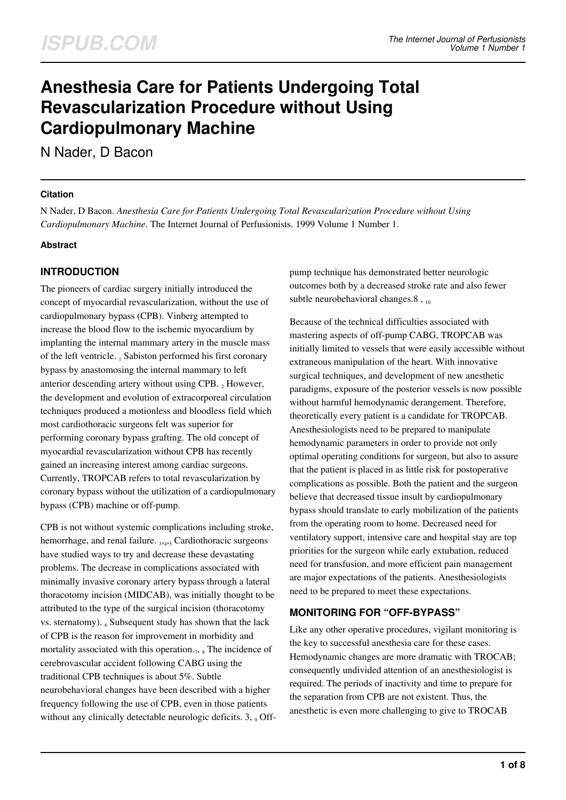# **Anesthesia Care for Patients Undergoing Total Revascularization Procedure without Using Cardiopulmonary Machine**

N Nader, D Bacon

### **Citation**

N Nader, D Bacon. *Anesthesia Care for Patients Undergoing Total Revascularization Procedure without Using Cardiopulmonary Machine*. The Internet Journal of Perfusionists. 1999 Volume 1 Number 1.

### **Abstract**

# **INTRODUCTION**

The pioneers of cardiac surgery initially introduced the concept of myocardial revascularization, without the use of cardiopulmonary bypass (CPB). Vinberg attempted to increase the blood flow to the ischemic myocardium by implanting the internal mammary artery in the muscle mass of the left ventricle. 1 Sabiston performed his first coronary bypass by anastomosing the internal mammary to left anterior descending artery without using CPB.  $_2$  However, the development and evolution of extracorporeal circulation techniques produced a motionless and bloodless field which most cardiothoracic surgeons felt was superior for performing coronary bypass grafting. The old concept of myocardial revascularization without CPB has recently gained an increasing interest among cardiac surgeons. Currently, TROPCAB refers to total revascularization by coronary bypass without the utilization of a cardiopulmonary bypass (CPB) machine or off-pump.

CPB is not without systemic complications including stroke, hemorrhage, and renal failure. 3,4,5 Cardiothoracic surgeons have studied ways to try and decrease these devastating problems. The decrease in complications associated with minimally invasive coronary artery bypass through a lateral thoracotomy incision (MIDCAB), was initially thought to be attributed to the type of the surgical incision (thoracotomy vs. sternatomy).  $_6$  Subsequent study has shown that the lack of CPB is the reason for improvement in morbidity and mortality associated with this operation. $_7$ ,  $_8$  The incidence of cerebrovascular accident following CABG using the traditional CPB techniques is about 5%. Subtle neurobehavioral changes have been described with a higher frequency following the use of CPB, even in those patients without any clinically detectable neurologic deficits.  $3,$   $9$  Offpump technique has demonstrated better neurologic outcomes both by a decreased stroke rate and also fewer subtle neurobehavioral changes.8,  $_{10}$ 

Because of the technical difficulties associated with mastering aspects of off-pump CABG, TROPCAB was initially limited to vessels that were easily accessible without extraneous manipulation of the heart. With innovative surgical techniques, and development of new anesthetic paradigms, exposure of the posterior vessels is now possible without harmful hemodynamic derangement. Therefore, theoretically every patient is a candidate for TROPCAB. Anesthesiologists need to be prepared to manipulate hemodynamic parameters in order to provide not only optimal operating conditions for surgeon, but also to assure that the patient is placed in as little risk for postoperative complications as possible. Both the patient and the surgeon believe that decreased tissue insult by cardiopulmonary bypass should translate to early mobilization of the patients from the operating room to home. Decreased need for ventilatory support, intensive care and hospital stay are top priorities for the surgeon while early extubation, reduced need for transfusion, and more efficient pain management are major expectations of the patients. Anesthesiologists need to be prepared to meet these expectations.

### **MONITORING FOR "OFF-BYPASS"**

Like any other operative procedures, vigilant monitoring is the key to successful anesthesia care for these cases. Hemodynamic changes are more dramatic with TROCAB; consequently undivided attention of an anesthesiologist is required. The periods of inactivity and time to prepare for the separation from CPB are not existent. Thus, the anesthetic is even more challenging to give to TROCAB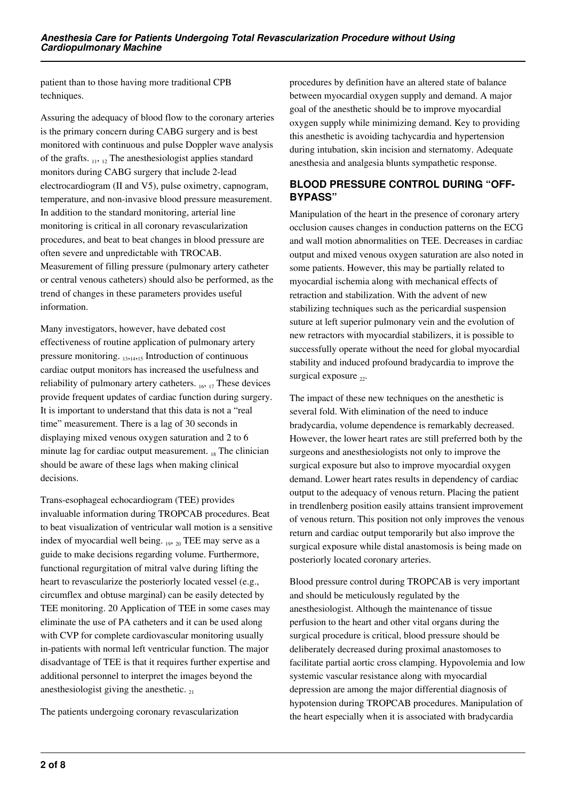patient than to those having more traditional CPB techniques.

Assuring the adequacy of blood flow to the coronary arteries is the primary concern during CABG surgery and is best monitored with continuous and pulse Doppler wave analysis of the grafts.  $_{11, 12}$  The anesthesiologist applies standard monitors during CABG surgery that include 2-lead electrocardiogram (II and V5), pulse oximetry, capnogram, temperature, and non-invasive blood pressure measurement. In addition to the standard monitoring, arterial line monitoring is critical in all coronary revascularization procedures, and beat to beat changes in blood pressure are often severe and unpredictable with TROCAB. Measurement of filling pressure (pulmonary artery catheter or central venous catheters) should also be performed, as the trend of changes in these parameters provides useful information.

Many investigators, however, have debated cost effectiveness of routine application of pulmonary artery pressure monitoring.  $_{13,14,15}$  Introduction of continuous cardiac output monitors has increased the usefulness and reliability of pulmonary artery catheters.  $_{16, 17}$  These devices provide frequent updates of cardiac function during surgery. It is important to understand that this data is not a "real time" measurement. There is a lag of 30 seconds in displaying mixed venous oxygen saturation and 2 to 6 minute lag for cardiac output measurement. 18 The clinician should be aware of these lags when making clinical decisions.

Trans-esophageal echocardiogram (TEE) provides invaluable information during TROPCAB procedures. Beat to beat visualization of ventricular wall motion is a sensitive index of myocardial well being. 19, 20 TEE may serve as a guide to make decisions regarding volume. Furthermore, functional regurgitation of mitral valve during lifting the heart to revascularize the posteriorly located vessel (e.g., circumflex and obtuse marginal) can be easily detected by TEE monitoring. 20 Application of TEE in some cases may eliminate the use of PA catheters and it can be used along with CVP for complete cardiovascular monitoring usually in-patients with normal left ventricular function. The major disadvantage of TEE is that it requires further expertise and additional personnel to interpret the images beyond the anesthesiologist giving the anesthetic.  $_{21}$ 

The patients undergoing coronary revascularization

procedures by definition have an altered state of balance between myocardial oxygen supply and demand. A major goal of the anesthetic should be to improve myocardial oxygen supply while minimizing demand. Key to providing this anesthetic is avoiding tachycardia and hypertension during intubation, skin incision and sternatomy. Adequate anesthesia and analgesia blunts sympathetic response.

# **BLOOD PRESSURE CONTROL DURING "OFF-BYPASS"**

Manipulation of the heart in the presence of coronary artery occlusion causes changes in conduction patterns on the ECG and wall motion abnormalities on TEE. Decreases in cardiac output and mixed venous oxygen saturation are also noted in some patients. However, this may be partially related to myocardial ischemia along with mechanical effects of retraction and stabilization. With the advent of new stabilizing techniques such as the pericardial suspension suture at left superior pulmonary vein and the evolution of new retractors with myocardial stabilizers, it is possible to successfully operate without the need for global myocardial stability and induced profound bradycardia to improve the surgical exposure  $_{22}$ .

The impact of these new techniques on the anesthetic is several fold. With elimination of the need to induce bradycardia, volume dependence is remarkably decreased. However, the lower heart rates are still preferred both by the surgeons and anesthesiologists not only to improve the surgical exposure but also to improve myocardial oxygen demand. Lower heart rates results in dependency of cardiac output to the adequacy of venous return. Placing the patient in trendlenberg position easily attains transient improvement of venous return. This position not only improves the venous return and cardiac output temporarily but also improve the surgical exposure while distal anastomosis is being made on posteriorly located coronary arteries.

Blood pressure control during TROPCAB is very important and should be meticulously regulated by the anesthesiologist. Although the maintenance of tissue perfusion to the heart and other vital organs during the surgical procedure is critical, blood pressure should be deliberately decreased during proximal anastomoses to facilitate partial aortic cross clamping. Hypovolemia and low systemic vascular resistance along with myocardial depression are among the major differential diagnosis of hypotension during TROPCAB procedures. Manipulation of the heart especially when it is associated with bradycardia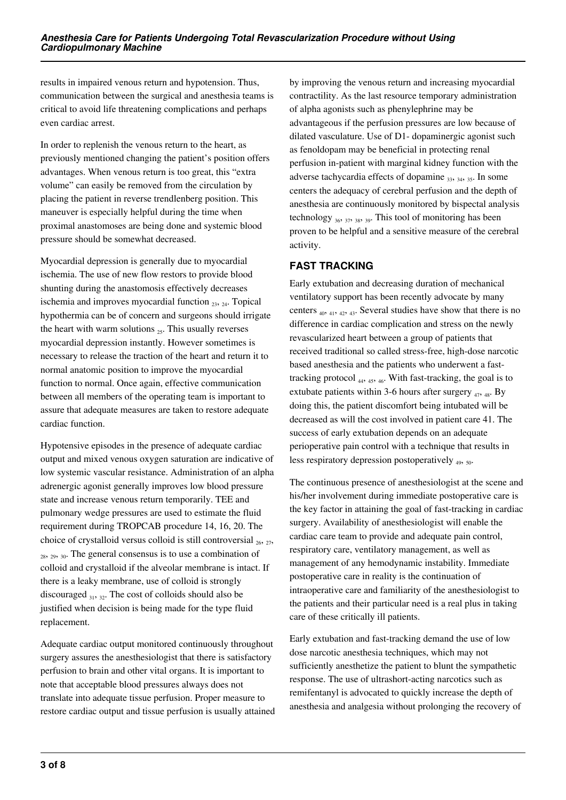results in impaired venous return and hypotension. Thus, communication between the surgical and anesthesia teams is critical to avoid life threatening complications and perhaps even cardiac arrest.

In order to replenish the venous return to the heart, as previously mentioned changing the patient's position offers advantages. When venous return is too great, this "extra volume" can easily be removed from the circulation by placing the patient in reverse trendlenberg position. This maneuver is especially helpful during the time when proximal anastomoses are being done and systemic blood pressure should be somewhat decreased.

Myocardial depression is generally due to myocardial ischemia. The use of new flow restors to provide blood shunting during the anastomosis effectively decreases ischemia and improves myocardial function  $_{23}$ ,  $_{24}$ . Topical hypothermia can be of concern and surgeons should irrigate the heart with warm solutions  $_{25}$ . This usually reverses myocardial depression instantly. However sometimes is necessary to release the traction of the heart and return it to normal anatomic position to improve the myocardial function to normal. Once again, effective communication between all members of the operating team is important to assure that adequate measures are taken to restore adequate cardiac function.

Hypotensive episodes in the presence of adequate cardiac output and mixed venous oxygen saturation are indicative of low systemic vascular resistance. Administration of an alpha adrenergic agonist generally improves low blood pressure state and increase venous return temporarily. TEE and pulmonary wedge pressures are used to estimate the fluid requirement during TROPCAB procedure 14, 16, 20. The choice of crystalloid versus colloid is still controversial  $_{26, 27}$ ,  $28, 29, 30$ . The general consensus is to use a combination of colloid and crystalloid if the alveolar membrane is intact. If there is a leaky membrane, use of colloid is strongly discouraged  $_{31}$ ,  $_{32}$ . The cost of colloids should also be justified when decision is being made for the type fluid replacement.

Adequate cardiac output monitored continuously throughout surgery assures the anesthesiologist that there is satisfactory perfusion to brain and other vital organs. It is important to note that acceptable blood pressures always does not translate into adequate tissue perfusion. Proper measure to restore cardiac output and tissue perfusion is usually attained by improving the venous return and increasing myocardial contractility. As the last resource temporary administration of alpha agonists such as phenylephrine may be advantageous if the perfusion pressures are low because of dilated vasculature. Use of D1- dopaminergic agonist such as fenoldopam may be beneficial in protecting renal perfusion in-patient with marginal kidney function with the adverse tachycardia effects of dopamine  $_{33}$ ,  $_{34}$ ,  $_{35}$ . In some centers the adequacy of cerebral perfusion and the depth of anesthesia are continuously monitored by bispectal analysis technology  $36, 37, 38, 39$ . This tool of monitoring has been proven to be helpful and a sensitive measure of the cerebral activity.

# **FAST TRACKING**

Early extubation and decreasing duration of mechanical ventilatory support has been recently advocate by many centers  $_{40}$ ,  $_{41}$ ,  $_{42}$ ,  $_{43}$ . Several studies have show that there is no difference in cardiac complication and stress on the newly revascularized heart between a group of patients that received traditional so called stress-free, high-dose narcotic based anesthesia and the patients who underwent a fasttracking protocol 44, 45, 46. With fast-tracking, the goal is to extubate patients within 3-6 hours after surgery  $_{47,48}$ . By doing this, the patient discomfort being intubated will be decreased as will the cost involved in patient care 41. The success of early extubation depends on an adequate perioperative pain control with a technique that results in less respiratory depression postoperatively  $_{49}$ ,  $_{50}$ .

The continuous presence of anesthesiologist at the scene and his/her involvement during immediate postoperative care is the key factor in attaining the goal of fast-tracking in cardiac surgery. Availability of anesthesiologist will enable the cardiac care team to provide and adequate pain control, respiratory care, ventilatory management, as well as management of any hemodynamic instability. Immediate postoperative care in reality is the continuation of intraoperative care and familiarity of the anesthesiologist to the patients and their particular need is a real plus in taking care of these critically ill patients.

Early extubation and fast-tracking demand the use of low dose narcotic anesthesia techniques, which may not sufficiently anesthetize the patient to blunt the sympathetic response. The use of ultrashort-acting narcotics such as remifentanyl is advocated to quickly increase the depth of anesthesia and analgesia without prolonging the recovery of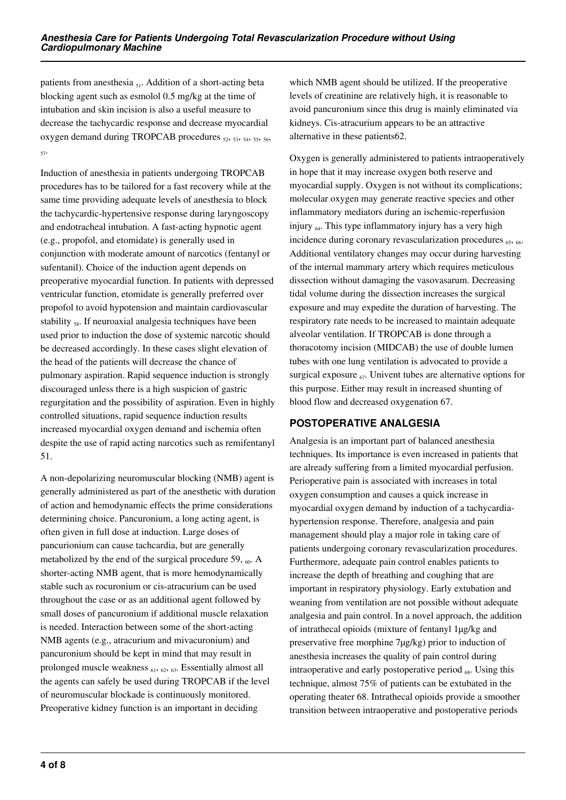patients from anesthesia  $_{51}$ . Addition of a short-acting beta blocking agent such as esmolol 0.5 mg/kg at the time of intubation and skin incision is also a useful measure to decrease the tachycardic response and decrease myocardial oxygen demand during TROPCAB procedures  $52, 53, 54, 55, 56$ 57.

Induction of anesthesia in patients undergoing TROPCAB procedures has to be tailored for a fast recovery while at the same time providing adequate levels of anesthesia to block the tachycardic-hypertensive response during laryngoscopy and endotracheal intubation. A fast-acting hypnotic agent (e.g., propofol, and etomidate) is generally used in conjunction with moderate amount of narcotics (fentanyl or sufentanil). Choice of the induction agent depends on preoperative myocardial function. In patients with depressed ventricular function, etomidate is generally preferred over propofol to avoid hypotension and maintain cardiovascular stability <sub>58</sub>. If neuroaxial analgesia techniques have been used prior to induction the dose of systemic narcotic should be decreased accordingly. In these cases slight elevation of the head of the patients will decrease the chance of pulmonary aspiration. Rapid sequence induction is strongly discouraged unless there is a high suspicion of gastric regurgitation and the possibility of aspiration. Even in highly controlled situations, rapid sequence induction results increased myocardial oxygen demand and ischemia often despite the use of rapid acting narcotics such as remifentanyl 51.

A non-depolarizing neuromuscular blocking (NMB) agent is generally administered as part of the anesthetic with duration of action and hemodynamic effects the prime considerations determining choice. Pancuronium, a long acting agent, is often given in full dose at induction. Large doses of pancurionium can cause tachcardia, but are generally metabolized by the end of the surgical procedure 59,  $\epsilon_0$ . A shorter-acting NMB agent, that is more hemodynamically stable such as rocuronium or cis-atracurium can be used throughout the case or as an additional agent followed by small doses of pancuronium if additional muscle relaxation is needed. Interaction between some of the short-acting NMB agents (e.g., atracurium and mivacuronium) and pancuronium should be kept in mind that may result in prolonged muscle weakness  $_{61, 62, 63}$ . Essentially almost all the agents can safely be used during TROPCAB if the level of neuromuscular blockade is continuously monitored. Preoperative kidney function is an important in deciding

which NMB agent should be utilized. If the preoperative levels of creatinine are relatively high, it is reasonable to avoid pancuronium since this drug is mainly eliminated via kidneys. Cis-atracurium appears to be an attractive alternative in these patients62.

Oxygen is generally administered to patients intraoperatively in hope that it may increase oxygen both reserve and myocardial supply. Oxygen is not without its complications; molecular oxygen may generate reactive species and other inflammatory mediators during an ischemic-reperfusion injury  $_{64}$ . This type inflammatory injury has a very high incidence during coronary revascularization procedures  $_{65, 66}$ . Additional ventilatory changes may occur during harvesting of the internal mammary artery which requires meticulous dissection without damaging the vasovasarum. Decreasing tidal volume during the dissection increases the surgical exposure and may expedite the duration of harvesting. The respiratory rate needs to be increased to maintain adequate alveolar ventilation. If TROPCAB is done through a thoracotomy incision (MIDCAB) the use of double lumen tubes with one lung ventilation is advocated to provide a surgical exposure  $_{67}$ . Univent tubes are alternative options for this purpose. Either may result in increased shunting of blood flow and decreased oxygenation 67.

# **POSTOPERATIVE ANALGESIA**

Analgesia is an important part of balanced anesthesia techniques. Its importance is even increased in patients that are already suffering from a limited myocardial perfusion. Perioperative pain is associated with increases in total oxygen consumption and causes a quick increase in myocardial oxygen demand by induction of a tachycardiahypertension response. Therefore, analgesia and pain management should play a major role in taking care of patients undergoing coronary revascularization procedures. Furthermore, adequate pain control enables patients to increase the depth of breathing and coughing that are important in respiratory physiology. Early extubation and weaning from ventilation are not possible without adequate analgesia and pain control. In a novel approach, the addition of intrathecal opioids (mixture of fentanyl 1µg/kg and preservative free morphine 7µg/kg) prior to induction of anesthesia increases the quality of pain control during intraoperative and early postoperative period  $_{68}$ . Using this technique, almost 75% of patients can be extubated in the operating theater 68. Intrathecal opioids provide a smoother transition between intraoperative and postoperative periods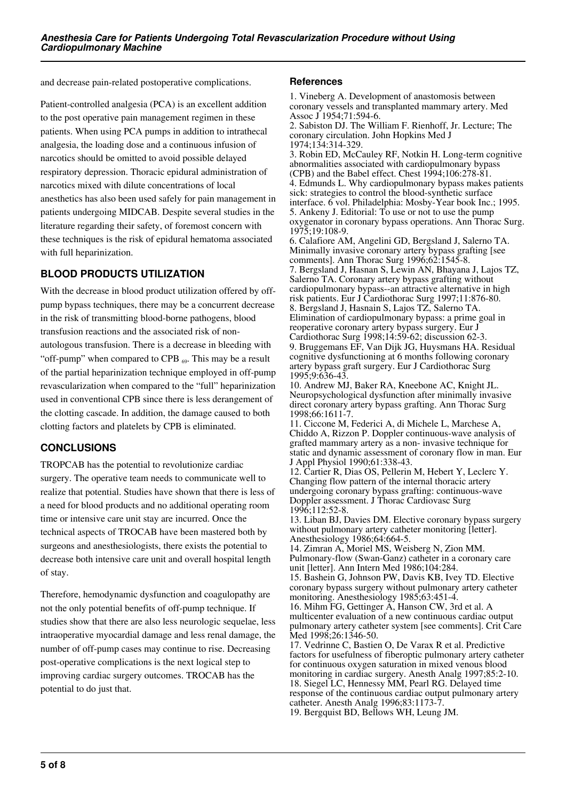and decrease pain-related postoperative complications.

Patient-controlled analgesia (PCA) is an excellent addition to the post operative pain management regimen in these patients. When using PCA pumps in addition to intrathecal analgesia, the loading dose and a continuous infusion of narcotics should be omitted to avoid possible delayed respiratory depression. Thoracic epidural administration of narcotics mixed with dilute concentrations of local anesthetics has also been used safely for pain management in patients undergoing MIDCAB. Despite several studies in the literature regarding their safety, of foremost concern with these techniques is the risk of epidural hematoma associated with full heparinization.

# **BLOOD PRODUCTS UTILIZATION**

With the decrease in blood product utilization offered by offpump bypass techniques, there may be a concurrent decrease in the risk of transmitting blood-borne pathogens, blood transfusion reactions and the associated risk of nonautologous transfusion. There is a decrease in bleeding with "off-pump" when compared to CPB  $_{69}$ . This may be a result of the partial heparinization technique employed in off-pump revascularization when compared to the "full" heparinization used in conventional CPB since there is less derangement of the clotting cascade. In addition, the damage caused to both clotting factors and platelets by CPB is eliminated.

# **CONCLUSIONS**

TROPCAB has the potential to revolutionize cardiac surgery. The operative team needs to communicate well to realize that potential. Studies have shown that there is less of a need for blood products and no additional operating room time or intensive care unit stay are incurred. Once the technical aspects of TROCAB have been mastered both by surgeons and anesthesiologists, there exists the potential to decrease both intensive care unit and overall hospital length of stay.

Therefore, hemodynamic dysfunction and coagulopathy are not the only potential benefits of off-pump technique. If studies show that there are also less neurologic sequelae, less intraoperative myocardial damage and less renal damage, the number of off-pump cases may continue to rise. Decreasing post-operative complications is the next logical step to improving cardiac surgery outcomes. TROCAB has the potential to do just that.

### **References**

1. Vineberg A. Development of anastomosis between coronary vessels and transplanted mammary artery. Med Assoc J 1954;71:594-6.

2. Sabiston DJ. The William F. Rienhoff, Jr. Lecture; The coronary circulation. John Hopkins Med J 1974;134:314-329.

3. Robin ED, McCauley RF, Notkin H. Long-term cognitive abnormalities associated with cardiopulmonary bypass (CPB) and the Babel effect. Chest  $1994:106:278-81$ . 4. Edmunds L. Why cardiopulmonary bypass makes patients sick: strategies to control the blood-synthetic surface interface. 6 vol. Philadelphia: Mosby-Year book Inc.; 1995. 5. Ankeny J. Editorial: To use or not to use the pump oxygenator in coronary bypass operations. Ann Thorac Surg.

1975;19:108-9. 6. Calafiore AM, Angelini GD, Bergsland J, Salerno TA. Minimally invasive coronary artery bypass grafting [see comments]. Ann Thorac Surg 1996;62:1545-8.

7. Bergsland J, Hasnan S, Lewin AN, Bhayana J, Lajos TZ, Salerno TA. Coronary artery bypass grafting without cardiopulmonary bypass--an attractive alternative in high risk patients. Eur J Cardiothorac Surg 1997;11:876-80. 8. Bergsland J, Hasnain S, Lajos TZ, Salerno TA. Elimination of cardiopulmonary bypass: a prime goal in reoperative coronary artery bypass surgery. Eur J Cardiothorac Surg 1998;14:59-62; discussion 62-3. 9. Bruggemans EF, Van Dijk JG, Huysmans HA. Residual cognitive dysfunctioning at 6 months following coronary artery bypass graft surgery. Eur J Cardiothorac Surg 1995;9:636-43.

10. Andrew MJ, Baker RA, Kneebone AC, Knight JL. Neuropsychological dysfunction after minimally invasive direct coronary artery bypass grafting. Ann Thorac Surg 1998;66:1611-7.

11. Ciccone M, Federici A, di Michele L, Marchese A, Chiddo A, Rizzon P. Doppler continuous-wave analysis of grafted mammary artery as a non- invasive technique for static and dynamic assessment of coronary flow in man. Eur J Appl Physiol 1990;61:338-43.

12. Cartier R, Dias OS, Pellerin M, Hebert Y, Leclerc Y. Changing flow pattern of the internal thoracic artery undergoing coronary bypass grafting: continuous-wave Doppler assessment. J Thorac Cardiovasc Surg 1996;112:52-8.

13. Liban BJ, Davies DM. Elective coronary bypass surgery without pulmonary artery catheter monitoring [letter]. Anesthesiology 1986;64:664-5.

14. Zimran A, Moriel MS, Weisberg N, Zion MM. Pulmonary-flow (Swan-Ganz) catheter in a coronary care unit [letter]. Ann Intern Med 1986;104:284.

15. Bashein G, Johnson PW, Davis KB, Ivey TD. Elective coronary bypass surgery without pulmonary artery catheter monitoring. Anesthesiology 1985;63:451-4.

16. Mihm FG, Gettinger A, Hanson CW, 3rd et al. A multicenter evaluation of a new continuous cardiac output pulmonary artery catheter system [see comments]. Crit Care Med 1998;26:1346-50.

17. Vedrinne C, Bastien O, De Varax R et al. Predictive factors for usefulness of fiberoptic pulmonary artery catheter for continuous oxygen saturation in mixed venous blood monitoring in cardiac surgery. Anesth Analg 1997;85:2-10. 18. Siegel LC, Hennessy MM, Pearl RG. Delayed time response of the continuous cardiac output pulmonary artery catheter. Anesth Analg 1996;83:1173-7. 19. Bergquist BD, Bellows WH, Leung JM.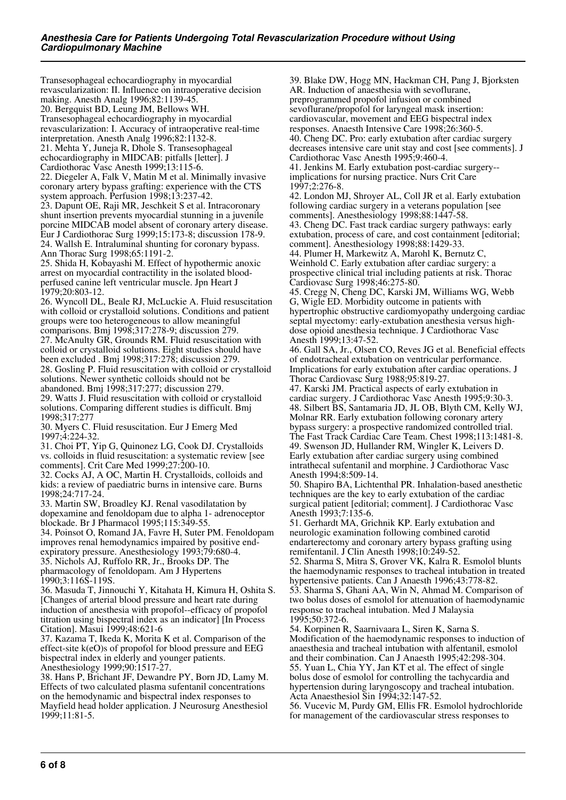Transesophageal echocardiography in myocardial revascularization: II. Influence on intraoperative decision making. Anesth Analg 1996;82:1139-45. 20. Bergquist BD, Leung JM, Bellows WH. Transesophageal echocardiography in myocardial revascularization: I. Accuracy of intraoperative real-time interpretation. Anesth Analg 1996;82:1132-8. 21. Mehta Y, Juneja R, Dhole S. Transesophageal echocardiography in MIDCAB: pitfalls [letter]. J Cardiothorac Vasc Anesth 1999;13:115-6. 22. Diegeler A, Falk V, Matin M et al. Minimally invasive coronary artery bypass grafting: experience with the CTS system approach. Perfusion 1998;13:237-42. 23. Dapunt OE, Raji MR, Jeschkeit S et al. Intracoronary shunt insertion prevents myocardial stunning in a juvenile porcine MIDCAB model absent of coronary artery disease. Eur J Cardiothorac Surg 1999;15:173-8; discussion 178-9. 24. Wallsh E. Intraluminal shunting for coronary bypass. Ann Thorac Surg 1998;65:1191-2.

25. Shida H, Kobayashi M. Effect of hypothermic anoxic arrest on myocardial contractility in the isolated bloodperfused canine left ventricular muscle. Jpn Heart J 1979;20:803-12.

26. Wyncoll DL, Beale RJ, McLuckie A. Fluid resuscitation with colloid or crystalloid solutions. Conditions and patient groups were too heterogeneous to allow meaningful comparisons. Bmj 1998;317:278-9; discussion 279. 27. McAnulty GR, Grounds RM. Fluid resuscitation with colloid or crystalloid solutions. Eight studies should have been excluded . Bmj 1998;317:278; discussion 279. 28. Gosling P. Fluid resuscitation with colloid or crystalloid solutions. Newer synthetic colloids should not be abandoned. Bmj 1998;317:277; discussion 279. 29. Watts J. Fluid resuscitation with colloid or crystalloid

solutions. Comparing different studies is difficult. Bmj 1998;317:277

30. Myers C. Fluid resuscitation. Eur J Emerg Med 1997;4:224-32.

31. Choi PT, Yip G, Quinonez LG, Cook DJ. Crystalloids vs. colloids in fluid resuscitation: a systematic review [see comments]. Crit Care Med 1999;27:200-10.

32. Cocks AJ, A OC, Martin H. Crystalloids, colloids and kids: a review of paediatric burns in intensive care. Burns 1998;24:717-24.

33. Martin SW, Broadley KJ. Renal vasodilatation by dopexamine and fenoldopam due to alpha 1- adrenoceptor blockade. Br J Pharmacol 1995;115:349-55.

34. Poinsot O, Romand JA, Favre H, Suter PM. Fenoldopam improves renal hemodynamics impaired by positive endexpiratory pressure. Anesthesiology 1993;79:680-4. 35. Nichols AJ, Ruffolo RR, Jr., Brooks DP. The pharmacology of fenoldopam. Am J Hypertens 1990;3:116S-119S.

36. Masuda T, Jinnouchi Y, Kitahata H, Kimura H, Oshita S. [Changes of arterial blood pressure and heart rate during induction of anesthesia with propofol--efficacy of propofol titration using bispectral index as an indicator] [In Process Citation]. Masui 1999;48:621-6

37. Kazama T, Ikeda K, Morita K et al. Comparison of the effect-site k(eO)s of propofol for blood pressure and EEG bispectral index in elderly and younger patients. Anesthesiology 1999;90:1517-27.

38. Hans P, Brichant JF, Dewandre PY, Born JD, Lamy M. Effects of two calculated plasma sufentanil concentrations on the hemodynamic and bispectral index responses to Mayfield head holder application. J Neurosurg Anesthesiol 1999;11:81-5.

39. Blake DW, Hogg MN, Hackman CH, Pang J, Bjorksten AR. Induction of anaesthesia with sevoflurane, preprogrammed propofol infusion or combined sevoflurane/propofol for laryngeal mask insertion: cardiovascular, movement and EEG bispectral index responses. Anaesth Intensive Care 1998;26:360-5. 40. Cheng DC. Pro: early extubation after cardiac surgery decreases intensive care unit stay and cost [see comments]. J Cardiothorac Vasc Anesth 1995;9:460-4.

41. Jenkins M. Early extubation post-cardiac surgery- implications for nursing practice. Nurs Crit Care 1997;2:276-8.

42. London MJ, Shroyer AL, Coll JR et al. Early extubation following cardiac surgery in a veterans population [see comments]. Anesthesiology 1998;88:1447-58. 43. Cheng DC. Fast track cardiac surgery pathways: early

extubation, process of care, and cost containment [editorial; comment]. Anesthesiology 1998;88:1429-33.

44. Plumer H, Markewitz A, Marohl K, Bernutz C, Weinhold C. Early extubation after cardiac surgery: a prospective clinical trial including patients at risk. Thorac Cardiovasc Surg 1998;46:275-80.

45. Cregg N, Cheng DC, Karski JM, Williams WG, Webb G, Wigle ED. Morbidity outcome in patients with hypertrophic obstructive cardiomyopathy undergoing cardiac septal myectomy: early-extubation anesthesia versus highdose opioid anesthesia technique. J Cardiothorac Vasc Anesth 1999;13:47-52.

46. Gall SA, Jr., Olsen CO, Reves JG et al. Beneficial effects of endotracheal extubation on ventricular performance. Implications for early extubation after cardiac operations. J Thorac Cardiovasc Surg 1988;95:819-27.

47. Karski JM. Practical aspects of early extubation in cardiac surgery. J Cardiothorac Vasc Anesth 1995;9:30-3. 48. Silbert BS, Santamaria JD, JL OB, Blyth CM, Kelly WJ, Molnar RR. Early extubation following coronary artery bypass surgery: a prospective randomized controlled trial. The Fast Track Cardiac Care Team. Chest 1998;113:1481-8. 49. Swenson JD, Hullander RM, Wingler K, Leivers D. Early extubation after cardiac surgery using combined intrathecal sufentanil and morphine. J Cardiothorac Vasc Anesth 1994;8:509-14.

50. Shapiro BA, Lichtenthal PR. Inhalation-based anesthetic techniques are the key to early extubation of the cardiac surgical patient [editorial; comment]. J Cardiothorac Vasc Anesth 1993;7:135-6.

51. Gerhardt MA, Grichnik KP. Early extubation and neurologic examination following combined carotid endarterectomy and coronary artery bypass grafting using remifentanil. J Clin Anesth 1998;10:249-52.

52. Sharma S, Mitra S, Grover VK, Kalra R. Esmolol blunts the haemodynamic responses to tracheal intubation in treated hypertensive patients. Can J Anaesth 1996;43:778-82. 53. Sharma S, Ghani AA, Win N, Ahmad M. Comparison of two bolus doses of esmolol for attenuation of haemodynamic

response to tracheal intubation. Med J Malaysia

1995;50:372-6. 54. Korpinen R, Saarnivaara L, Siren K, Sarna S. Modification of the haemodynamic responses to induction of anaesthesia and tracheal intubation with alfentanil, esmolol and their combination. Can J Anaesth 1995;42:298-304. 55. Yuan L, Chia YY, Jan KT et al. The effect of single bolus dose of esmolol for controlling the tachycardia and hypertension during laryngoscopy and tracheal intubation.

Acta Anaesthesiol Sin 1994;32:147-52.

56. Vucevic M, Purdy GM, Ellis FR. Esmolol hydrochloride for management of the cardiovascular stress responses to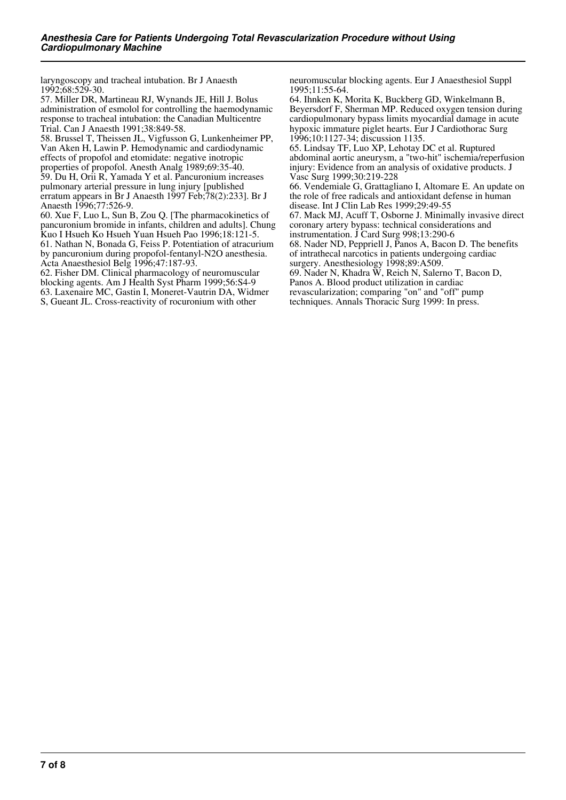laryngoscopy and tracheal intubation. Br J Anaesth 1992;68:529-30.

57. Miller DR, Martineau RJ, Wynands JE, Hill J. Bolus administration of esmolol for controlling the haemodynamic response to tracheal intubation: the Canadian Multicentre Trial. Can J Anaesth 1991;38:849-58.

58. Brussel T, Theissen JL, Vigfusson G, Lunkenheimer PP, Van Aken H, Lawin P. Hemodynamic and cardiodynamic effects of propofol and etomidate: negative inotropic properties of propofol. Anesth Analg 1989;69:35-40. 59. Du H, Orii R, Yamada Y et al. Pancuronium increases pulmonary arterial pressure in lung injury [published erratum appears in Br J Anaesth  $1997$  Feb;  $78(2)$ : 233]. Br J Anaesth 1996;77:526-9.

60. Xue F, Luo L, Sun B, Zou Q. [The pharmacokinetics of pancuronium bromide in infants, children and adults]. Chung Kuo I Hsueh Ko Hsueh Yuan Hsueh Pao 1996;18:121-5. 61. Nathan N, Bonada G, Feiss P. Potentiation of atracurium by pancuronium during propofol-fentanyl-N2O anesthesia. Acta Anaesthesiol Belg 1996;47:187-93.

62. Fisher DM. Clinical pharmacology of neuromuscular blocking agents. Am J Health Syst Pharm 1999;56:S4-9 63. Laxenaire MC, Gastin I, Moneret-Vautrin DA, Widmer S, Gueant JL. Cross-reactivity of rocuronium with other

neuromuscular blocking agents. Eur J Anaesthesiol Suppl 1995;11:55-64.

64. Ihnken K, Morita K, Buckberg GD, Winkelmann B, Beyersdorf F, Sherman MP. Reduced oxygen tension during cardiopulmonary bypass limits myocardial damage in acute hypoxic immature piglet hearts. Eur J Cardiothorac Surg 1996;10:1127-34; discussion 1135.

65. Lindsay TF, Luo XP, Lehotay DC et al. Ruptured abdominal aortic aneurysm, a "two-hit" ischemia/reperfusion injury: Evidence from an analysis of oxidative products. J Vasc Surg 1999;30:219-228

66. Vendemiale G, Grattagliano I, Altomare E. An update on the role of free radicals and antioxidant defense in human disease. Int J Clin Lab Res 1999;29:49-55

67. Mack MJ, Acuff T, Osborne J. Minimally invasive direct coronary artery bypass: technical considerations and

instrumentation. J Card Surg 998;13:290-6

68. Nader ND, Peppriell J, Panos A, Bacon D. The benefits of intrathecal narcotics in patients undergoing cardiac

surgery. Anesthesiology 1998;89:A509.

69. Nader N, Khadra W, Reich N, Salerno T, Bacon D,

Panos A. Blood product utilization in cardiac revascularization; comparing "on" and "off" pump

techniques. Annals Thoracic Surg 1999: In press.